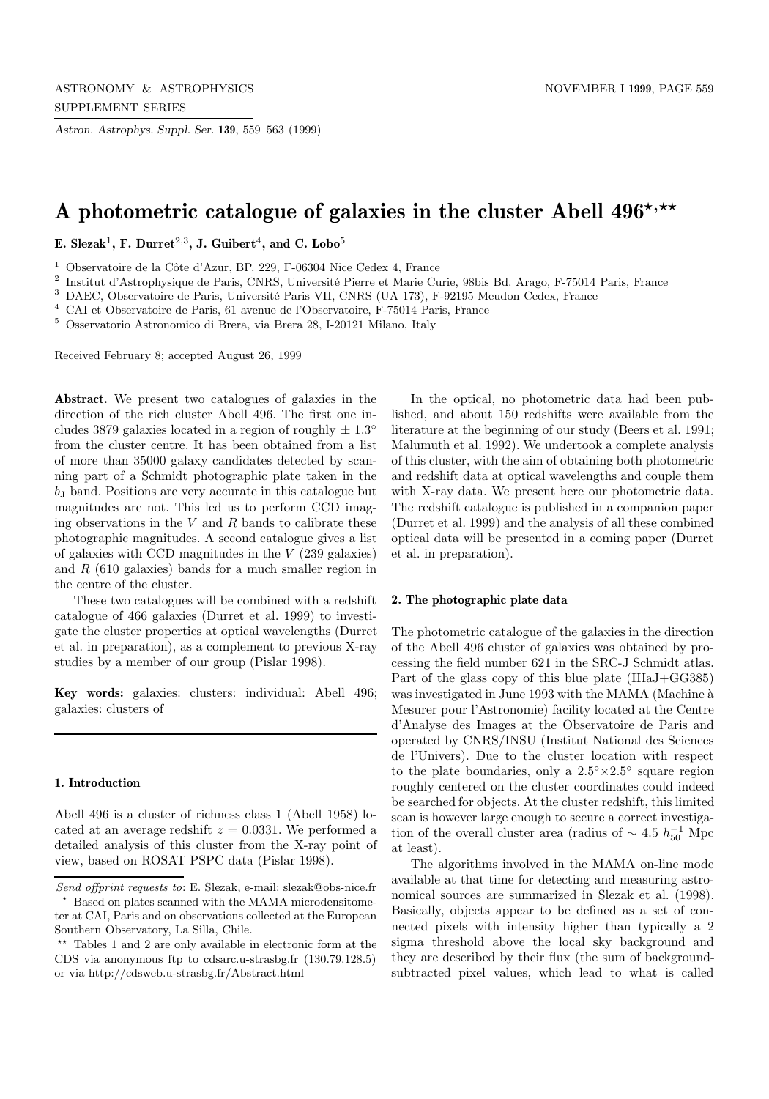*Astron. Astrophys. Suppl. Ser.* **139**, 559–563 (1999)

# A photometric catalogue of galaxies in the cluster Abell  $496^{\star,\star\star}$

**E. Slezak**<sup>1</sup>**, F. Durret**<sup>2</sup>,<sup>3</sup>**, J. Guibert**<sup>4</sup>**, and C. Lobo**<sup>5</sup>

<sup>1</sup> Observatoire de la Côte d'Azur, BP. 229, F-06304 Nice Cedex 4, France

<sup>2</sup> Institut d'Astrophysique de Paris, CNRS, Université Pierre et Marie Curie, 98bis Bd. Arago, F-75014 Paris, France

<sup>3</sup> DAEC, Observatoire de Paris, Université Paris VII, CNRS (UA 173), F-92195 Meudon Cedex, France

<sup>4</sup> CAI et Observatoire de Paris, 61 avenue de l'Observatoire, F-75014 Paris, France

<sup>5</sup> Osservatorio Astronomico di Brera, via Brera 28, I-20121 Milano, Italy

Received February 8; accepted August 26, 1999

**Abstract.** We present two catalogues of galaxies in the direction of the rich cluster Abell 496. The first one includes 3879 galaxies located in a region of roughly  $\pm 1.3^{\circ}$ from the cluster centre. It has been obtained from a list of more than 35000 galaxy candidates detected by scanning part of a Schmidt photographic plate taken in the  $b<sub>J</sub>$  band. Positions are very accurate in this catalogue but magnitudes are not. This led us to perform CCD imaging observations in the  $V$  and  $R$  bands to calibrate these photographic magnitudes. A second catalogue gives a list of galaxies with CCD magnitudes in the V (239 galaxies) and  $R$  (610 galaxies) bands for a much smaller region in the centre of the cluster.

These two catalogues will be combined with a redshift catalogue of 466 galaxies (Durret et al. 1999) to investigate the cluster properties at optical wavelengths (Durret et al. in preparation), as a complement to previous X-ray studies by a member of our group (Pislar 1998).

**Key words:** galaxies: clusters: individual: Abell 496; galaxies: clusters of

#### **1. Introduction**

Abell 496 is a cluster of richness class 1 (Abell 1958) located at an average redshift  $z = 0.0331$ . We performed a detailed analysis of this cluster from the X-ray point of view, based on ROSAT PSPC data (Pislar 1998).

In the optical, no photometric data had been published, and about 150 redshifts were available from the literature at the beginning of our study (Beers et al. 1991; Malumuth et al. 1992). We undertook a complete analysis of this cluster, with the aim of obtaining both photometric and redshift data at optical wavelengths and couple them with X-ray data. We present here our photometric data. The redshift catalogue is published in a companion paper (Durret et al. 1999) and the analysis of all these combined optical data will be presented in a coming paper (Durret et al. in preparation).

#### **2. The photographic plate data**

The photometric catalogue of the galaxies in the direction of the Abell 496 cluster of galaxies was obtained by processing the field number 621 in the SRC-J Schmidt atlas. Part of the glass copy of this blue plate (IIIaJ+GG385) was investigated in June 1993 with the MAMA (Machine à Mesurer pour l'Astronomie) facility located at the Centre d'Analyse des Images at the Observatoire de Paris and operated by CNRS/INSU (Institut National des Sciences de l'Univers). Due to the cluster location with respect to the plate boundaries, only a  $2.5° \times 2.5°$  square region roughly centered on the cluster coordinates could indeed be searched for objects. At the cluster redshift, this limited scan is however large enough to secure a correct investigation of the overall cluster area (radius of  $\sim 4.5 h_{50}^{-1}$  Mpc at least).

The algorithms involved in the MAMA on-line mode available at that time for detecting and measuring astronomical sources are summarized in Slezak et al. (1998). Basically, objects appear to be defined as a set of connected pixels with intensity higher than typically a 2 sigma threshold above the local sky background and they are described by their flux (the sum of backgroundsubtracted pixel values, which lead to what is called

Send offprint requests to: E. Slezak, e-mail: slezak@obs-nice.fr

Based on plates scanned with the MAMA microdensitometer at CAI, Paris and on observations collected at the European Southern Observatory, La Silla, Chile.

<sup>\*\*</sup> Tables 1 and 2 are only available in electronic form at the CDS via anonymous ftp to cdsarc.u-strasbg.fr (130.79.128.5) or via http://cdsweb.u-strasbg.fr/Abstract.html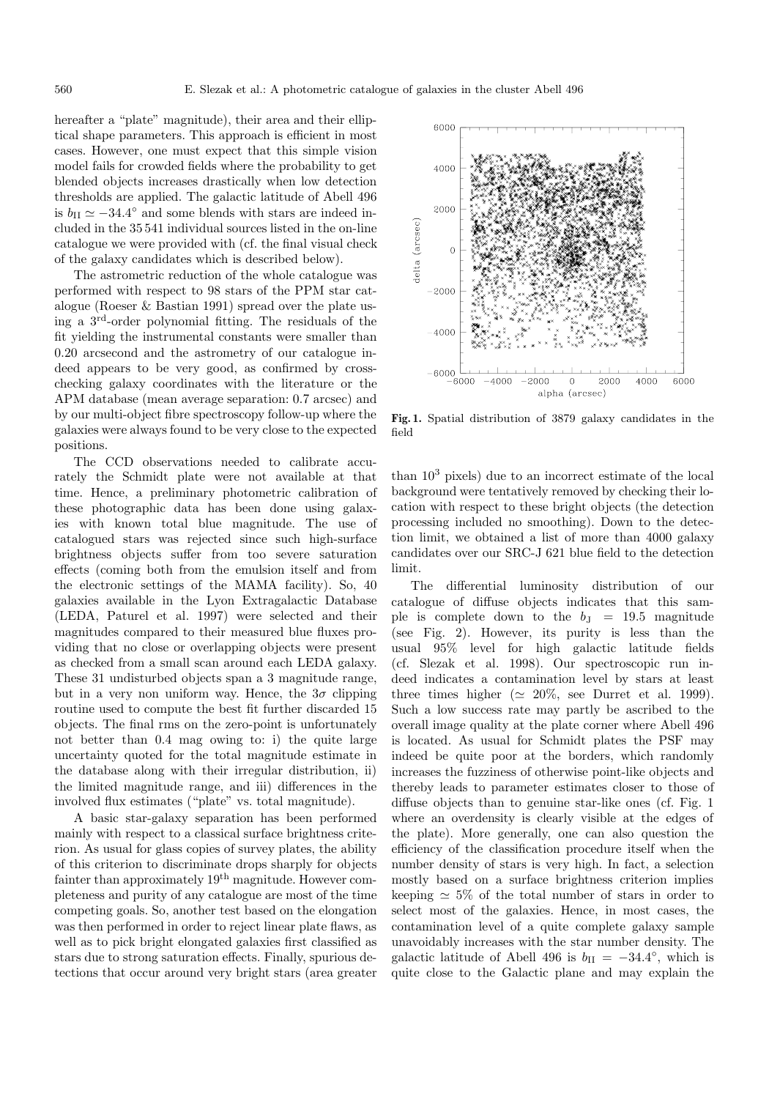hereafter a "plate" magnitude), their area and their elliptical shape parameters. This approach is efficient in most cases. However, one must expect that this simple vision model fails for crowded fields where the probability to get blended objects increases drastically when low detection thresholds are applied. The galactic latitude of Abell 496 is  $b_{II} \simeq -34.4^{\circ}$  and some blends with stars are indeed included in the 35 541 individual sources listed in the on-line catalogue we were provided with (cf. the final visual check of the galaxy candidates which is described below).

The astrometric reduction of the whole catalogue was performed with respect to 98 stars of the PPM star catalogue (Roeser & Bastian 1991) spread over the plate using a 3rd-order polynomial fitting. The residuals of the fit yielding the instrumental constants were smaller than 0.20 arcsecond and the astrometry of our catalogue indeed appears to be very good, as confirmed by crosschecking galaxy coordinates with the literature or the APM database (mean average separation: 0.7 arcsec) and by our multi-object fibre spectroscopy follow-up where the galaxies were always found to be very close to the expected positions.

The CCD observations needed to calibrate accurately the Schmidt plate were not available at that time. Hence, a preliminary photometric calibration of these photographic data has been done using galaxies with known total blue magnitude. The use of catalogued stars was rejected since such high-surface brightness objects suffer from too severe saturation effects (coming both from the emulsion itself and from the electronic settings of the MAMA facility). So, 40 galaxies available in the Lyon Extragalactic Database (LEDA, Paturel et al. 1997) were selected and their magnitudes compared to their measured blue fluxes providing that no close or overlapping objects were present as checked from a small scan around each LEDA galaxy. These 31 undisturbed objects span a 3 magnitude range, but in a very non uniform way. Hence, the  $3\sigma$  clipping routine used to compute the best fit further discarded 15 objects. The final rms on the zero-point is unfortunately not better than 0.4 mag owing to: i) the quite large uncertainty quoted for the total magnitude estimate in the database along with their irregular distribution, ii) the limited magnitude range, and iii) differences in the involved flux estimates ("plate" vs. total magnitude).

A basic star-galaxy separation has been performed mainly with respect to a classical surface brightness criterion. As usual for glass copies of survey plates, the ability of this criterion to discriminate drops sharply for objects fainter than approximately 19<sup>th</sup> magnitude. However completeness and purity of any catalogue are most of the time competing goals. So, another test based on the elongation was then performed in order to reject linear plate flaws, as well as to pick bright elongated galaxies first classified as stars due to strong saturation effects. Finally, spurious detections that occur around very bright stars (area greater



**Fig. 1.** Spatial distribution of 3879 galaxy candidates in the field

than  $10<sup>3</sup>$  pixels) due to an incorrect estimate of the local background were tentatively removed by checking their location with respect to these bright objects (the detection processing included no smoothing). Down to the detection limit, we obtained a list of more than 4000 galaxy candidates over our SRC-J 621 blue field to the detection limit.

The differential luminosity distribution of our catalogue of diffuse objects indicates that this sample is complete down to the  $b<sub>J</sub> = 19.5$  magnitude (see Fig. 2). However, its purity is less than the usual 95% level for high galactic latitude fields (cf. Slezak et al. 1998). Our spectroscopic run indeed indicates a contamination level by stars at least three times higher ( $\simeq 20\%$ , see Durret et al. 1999). Such a low success rate may partly be ascribed to the overall image quality at the plate corner where Abell 496 is located. As usual for Schmidt plates the PSF may indeed be quite poor at the borders, which randomly increases the fuzziness of otherwise point-like objects and thereby leads to parameter estimates closer to those of diffuse objects than to genuine star-like ones (cf. Fig. 1 where an overdensity is clearly visible at the edges of the plate). More generally, one can also question the efficiency of the classification procedure itself when the number density of stars is very high. In fact, a selection mostly based on a surface brightness criterion implies keeping  $\simeq 5\%$  of the total number of stars in order to select most of the galaxies. Hence, in most cases, the contamination level of a quite complete galaxy sample unavoidably increases with the star number density. The galactic latitude of Abell 496 is  $b_{II} = -34.4$ °, which is quite close to the Galactic plane and may explain the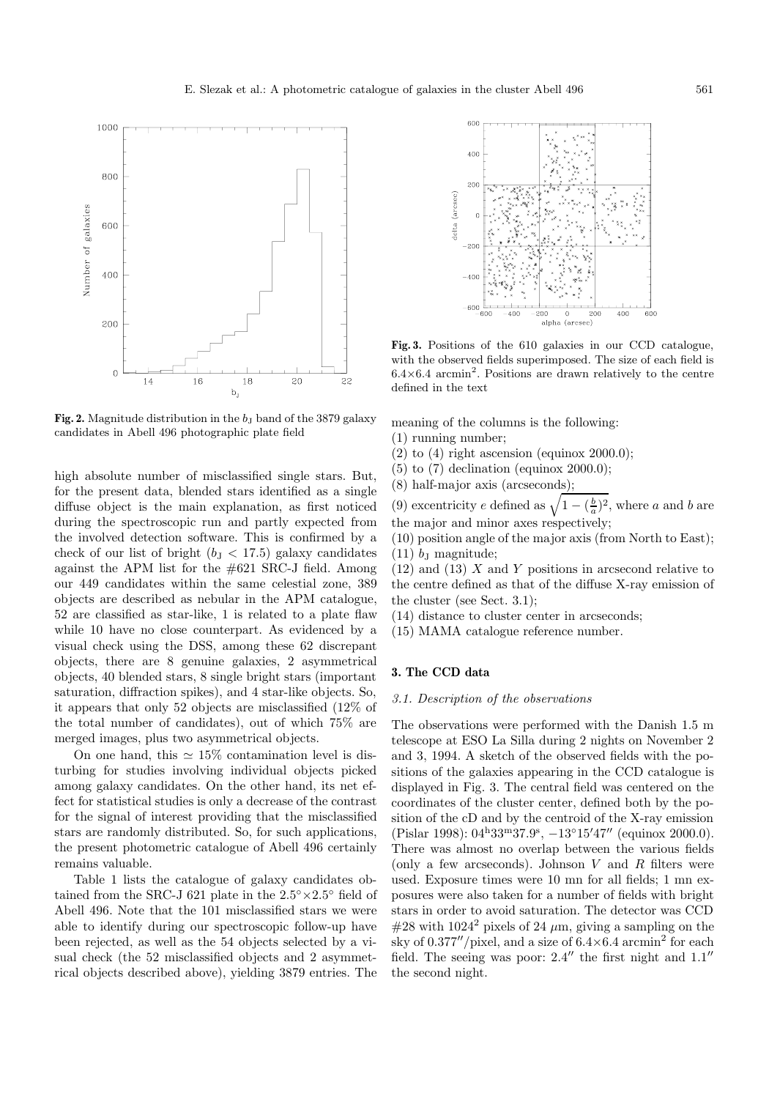

**Fig. 2.** Magnitude distribution in the  $b<sub>J</sub>$  band of the 3879 galaxy candidates in Abell 496 photographic plate field

high absolute number of misclassified single stars. But, for the present data, blended stars identified as a single diffuse object is the main explanation, as first noticed during the spectroscopic run and partly expected from the involved detection software. This is confirmed by a check of our list of bright  $(b<sub>J</sub> < 17.5)$  galaxy candidates against the APM list for the #621 SRC-J field. Among our 449 candidates within the same celestial zone, 389 objects are described as nebular in the APM catalogue, 52 are classified as star-like, 1 is related to a plate flaw while 10 have no close counterpart. As evidenced by a visual check using the DSS, among these 62 discrepant objects, there are 8 genuine galaxies, 2 asymmetrical objects, 40 blended stars, 8 single bright stars (important saturation, diffraction spikes), and 4 star-like objects. So, it appears that only 52 objects are misclassified (12% of the total number of candidates), out of which 75% are merged images, plus two asymmetrical objects.

On one hand, this  $\simeq 15\%$  contamination level is disturbing for studies involving individual objects picked among galaxy candidates. On the other hand, its net effect for statistical studies is only a decrease of the contrast for the signal of interest providing that the misclassified stars are randomly distributed. So, for such applications, the present photometric catalogue of Abell 496 certainly remains valuable.

Table 1 lists the catalogue of galaxy candidates obtained from the SRC-J 621 plate in the  $2.5° \times 2.5°$  field of Abell 496. Note that the 101 misclassified stars we were able to identify during our spectroscopic follow-up have been rejected, as well as the 54 objects selected by a visual check (the 52 misclassified objects and 2 asymmetrical objects described above), yielding 3879 entries. The



**Fig. 3.** Positions of the 610 galaxies in our CCD catalogue, with the observed fields superimposed. The size of each field is  $6.4\times6.4$  arcmin<sup>2</sup>. Positions are drawn relatively to the centre defined in the text

meaning of the columns is the following:

- (1) running number;
- $(2)$  to  $(4)$  right ascension (equinox 2000.0);
- $(5)$  to  $(7)$  declination (equinox 2000.0);
- (8) half-major axis (arcseconds);

(9) excentricity e defined as  $\sqrt{1 - (\frac{b}{a})^2}$ , where a and b are the major and minor axes respectively;

(10) position angle of the major axis (from North to East);  $(11)$  b<sub>J</sub> magnitude;

 $(12)$  and  $(13)$  X and Y positions in arcsecond relative to the centre defined as that of the diffuse X-ray emission of the cluster (see Sect. 3.1);

- (14) distance to cluster center in arcseconds;
- (15) MAMA catalogue reference number.

## **3. The CCD data**

#### 3.1. Description of the observations

The observations were performed with the Danish 1.5 m telescope at ESO La Silla during 2 nights on November 2 and 3, 1994. A sketch of the observed fields with the positions of the galaxies appearing in the CCD catalogue is displayed in Fig. 3. The central field was centered on the coordinates of the cluster center, defined both by the position of the cD and by the centroid of the X-ray emission (Pislar 1998):  $04^{\text{h}}33^{\text{m}}37.9^{\text{s}}$ ,  $-13^{\circ}15'47''$  (equinox 2000.0). There was almost no overlap between the various fields (only a few arcseconds). Johnson  $V$  and  $R$  filters were used. Exposure times were 10 mn for all fields; 1 mn exposures were also taken for a number of fields with bright stars in order to avoid saturation. The detector was CCD  $\#28$  with 1024<sup>2</sup> pixels of 24  $\mu$ m, giving a sampling on the sky of  $0.377''/$  pixel, and a size of  $6.4\times6.4$  arcmin<sup>2</sup> for each field. The seeing was poor:  $2.4$ <sup>"</sup> the first night and  $1.1$ " the second night.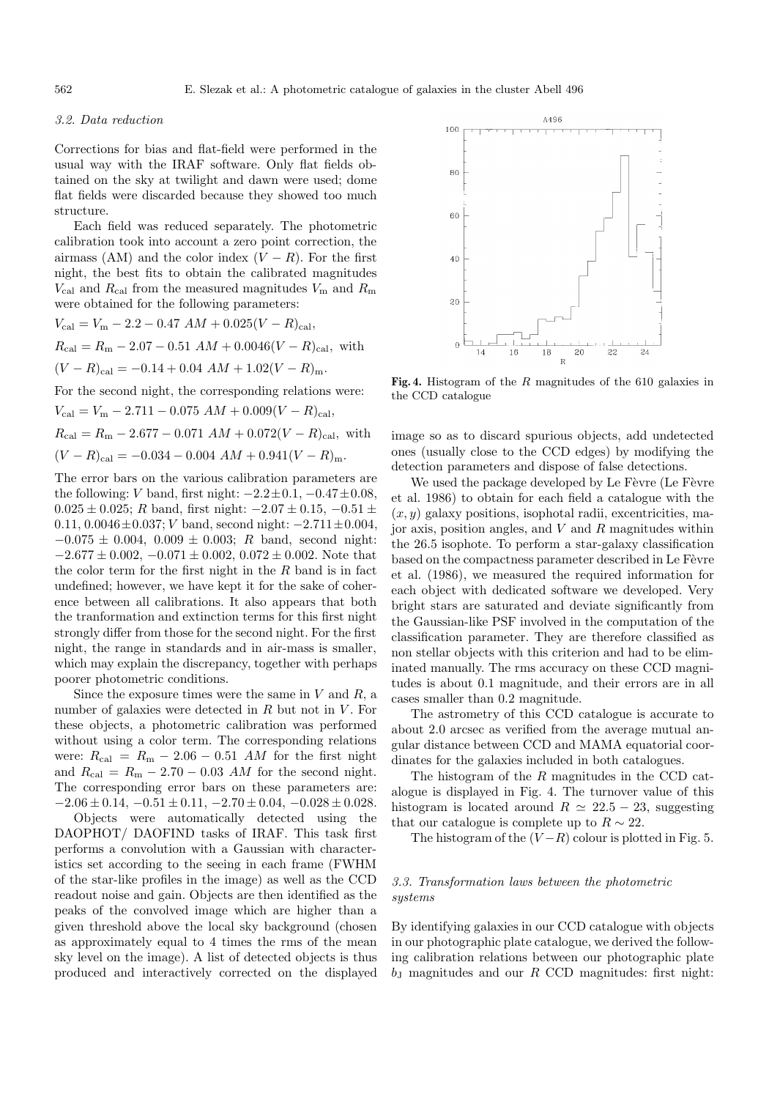#### 3.2. Data reduction

Corrections for bias and flat-field were performed in the usual way with the IRAF software. Only flat fields obtained on the sky at twilight and dawn were used; dome flat fields were discarded because they showed too much structure.

Each field was reduced separately. The photometric calibration took into account a zero point correction, the airmass (AM) and the color index  $(V - R)$ . For the first night, the best fits to obtain the calibrated magnitudes  $V_{\text{cal}}$  and  $R_{\text{cal}}$  from the measured magnitudes  $V_{\text{m}}$  and  $R_{\text{m}}$ were obtained for the following parameters:

$$
V_{\text{cal}} = V_{\text{m}} - 2.2 - 0.47 \ AM + 0.025(V - R)_{\text{cal}},
$$
  
\n
$$
R_{\text{cal}} = R_{\text{m}} - 2.07 - 0.51 \ AM + 0.0046(V - R)_{\text{cal}},
$$
 with  
\n
$$
(V - R)_{\text{cal}} = -0.14 + 0.04 \ AM + 1.02(V - R)_{\text{m}}.
$$
  
\nFor the second right, the corresponding relations were:

For the second night, the corresponding relations were:

 $V_{\text{cal}} = V_{\text{m}} - 2.711 - 0.075 \ AM + 0.009(V - R)_{\text{cal}},$  $R_{\text{cal}} = R_{\text{m}} - 2.677 - 0.071$   $AM + 0.072(V - R)_{\text{cal}}$ , with  $(V - R)_{\text{cal}} = -0.034 - 0.004$   $AM + 0.941(V - R)_{\text{m}}$ .

The error bars on the various calibration parameters are the following: V band, first night:  $-2.2 \pm 0.1$ ,  $-0.47 \pm 0.08$ ,  $0.025 \pm 0.025$ ; R band, first night:  $-2.07 \pm 0.15$ ,  $-0.51 \pm 0.025$ 0.11, 0.0046 $\pm$ 0.037; *V* band, second night:  $-2.711\pm0.004$ ,  $-0.075 \pm 0.004$ ,  $0.009 \pm 0.003$ ; R band, second night:  $-2.677 \pm 0.002$ ,  $-0.071 \pm 0.002$ ,  $0.072 \pm 0.002$ . Note that the color term for the first night in the  $R$  band is in fact undefined; however, we have kept it for the sake of coherence between all calibrations. It also appears that both the tranformation and extinction terms for this first night strongly differ from those for the second night. For the first night, the range in standards and in air-mass is smaller, which may explain the discrepancy, together with perhaps poorer photometric conditions.

Since the exposure times were the same in  $V$  and  $R$ , a number of galaxies were detected in  $R$  but not in  $V$ . For these objects, a photometric calibration was performed without using a color term. The corresponding relations were:  $R_{\text{cal}} = R_{\text{m}} - 2.06 - 0.51$  AM for the first night and  $R_{\text{cal}} = R_{\text{m}} - 2.70 - 0.03$  AM for the second night. The corresponding error bars on these parameters are:  $-2.06 \pm 0.14, -0.51 \pm 0.11, -2.70 \pm 0.04, -0.028 \pm 0.028.$ 

Objects were automatically detected using the DAOPHOT/ DAOFIND tasks of IRAF. This task first performs a convolution with a Gaussian with characteristics set according to the seeing in each frame (FWHM of the star-like profiles in the image) as well as the CCD readout noise and gain. Objects are then identified as the peaks of the convolved image which are higher than a given threshold above the local sky background (chosen as approximately equal to 4 times the rms of the mean sky level on the image). A list of detected objects is thus produced and interactively corrected on the displayed



**Fig. 4.** Histogram of the R magnitudes of the 610 galaxies in the CCD catalogue

image so as to discard spurious objects, add undetected ones (usually close to the CCD edges) by modifying the detection parameters and dispose of false detections.

We used the package developed by Le Fèvre (Le Fèvre et al. 1986) to obtain for each field a catalogue with the  $(x, y)$  galaxy positions, isophotal radii, excentricities, major axis, position angles, and  $V$  and  $R$  magnitudes within the 26.5 isophote. To perform a star-galaxy classification based on the compactness parameter described in Le Fèvre et al. (1986), we measured the required information for each object with dedicated software we developed. Very bright stars are saturated and deviate significantly from the Gaussian-like PSF involved in the computation of the classification parameter. They are therefore classified as non stellar objects with this criterion and had to be eliminated manually. The rms accuracy on these CCD magnitudes is about 0.1 magnitude, and their errors are in all cases smaller than 0.2 magnitude.

The astrometry of this CCD catalogue is accurate to about 2.0 arcsec as verified from the average mutual angular distance between CCD and MAMA equatorial coordinates for the galaxies included in both catalogues.

The histogram of the R magnitudes in the CCD catalogue is displayed in Fig. 4. The turnover value of this histogram is located around  $R \simeq 22.5 - 23$ , suggesting that our catalogue is complete up to  $R \sim 22$ .

The histogram of the  $(V-R)$  colour is plotted in Fig. 5.

### 3.3. Transformation laws between the photometric systems

By identifying galaxies in our CCD catalogue with objects in our photographic plate catalogue, we derived the following calibration relations between our photographic plate  $b<sub>J</sub>$  magnitudes and our R CCD magnitudes: first night: